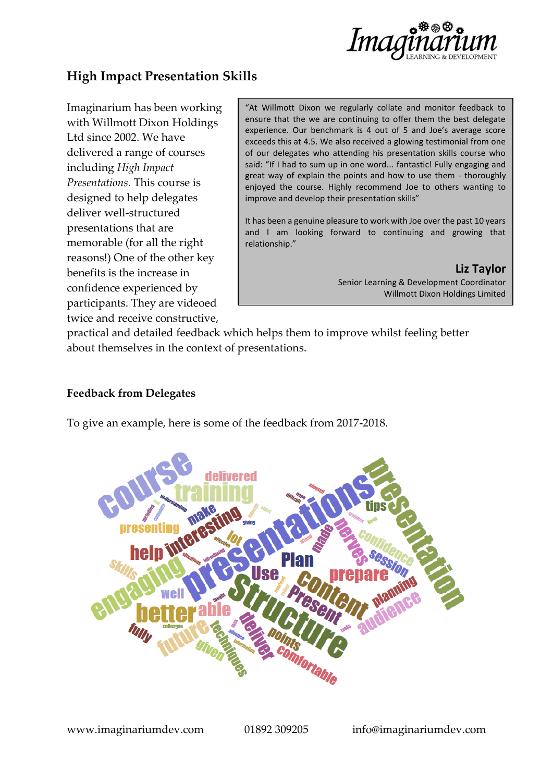

## **High Impact Presentation Skills**

Imaginarium has been working with Willmott Dixon Holdings Ltd since 2002. We have delivered a range of courses including *High Impact Presentations*. This course is designed to help delegates deliver well-structured presentations that are memorable (for all the right reasons!) One of the other key benefits is the increase in confidence experienced by participants. They are videoed twice and receive constructive,

"At Willmott Dixon we regularly collate and monitor feedback to ensure that the we are continuing to offer them the best delegate experience. Our benchmark is 4 out of 5 and Joe's average score exceeds this at 4.5. We also received a glowing testimonial from one of our delegates who attending his presentation skills course who said: "If I had to sum up in one word... fantastic! Fully engaging and great way of explain the points and how to use them - thoroughly enjoyed the course. Highly recommend Joe to others wanting to improve and develop their presentation skills"

It has been a genuine pleasure to work with Joe over the past 10 years and I am looking forward to continuing and growing that relationship."

> **Liz Taylor** Senior Learning & Development Coordinator Willmott Dixon Holdings Limited

practical and detailed feedback which helps them to improve whilst feeling better about themselves in the context of presentations.

## **Feedback from Delegates**

To give an example, here is some of the feedback from 2017-2018.

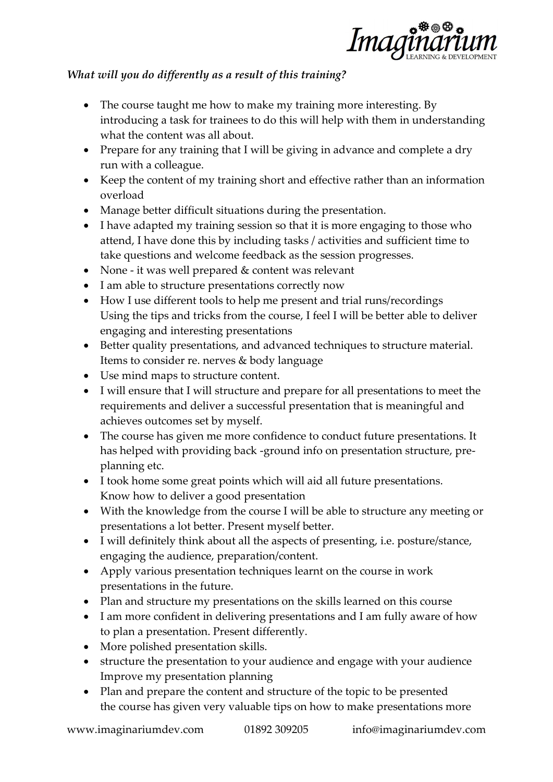

## *What will you do differently as a result of this training?*

- The course taught me how to make my training more interesting. By introducing a task for trainees to do this will help with them in understanding what the content was all about.
- Prepare for any training that I will be giving in advance and complete a dry run with a colleague.
- Keep the content of my training short and effective rather than an information overload
- Manage better difficult situations during the presentation.
- I have adapted my training session so that it is more engaging to those who attend, I have done this by including tasks / activities and sufficient time to take questions and welcome feedback as the session progresses.
- None it was well prepared & content was relevant
- I am able to structure presentations correctly now
- How I use different tools to help me present and trial runs/recordings Using the tips and tricks from the course, I feel I will be better able to deliver engaging and interesting presentations
- Better quality presentations, and advanced techniques to structure material. Items to consider re. nerves & body language
- Use mind maps to structure content.
- I will ensure that I will structure and prepare for all presentations to meet the requirements and deliver a successful presentation that is meaningful and achieves outcomes set by myself.
- The course has given me more confidence to conduct future presentations. It has helped with providing back -ground info on presentation structure, preplanning etc.
- I took home some great points which will aid all future presentations. Know how to deliver a good presentation
- With the knowledge from the course I will be able to structure any meeting or presentations a lot better. Present myself better.
- I will definitely think about all the aspects of presenting, i.e. posture/stance, engaging the audience, preparation/content.
- Apply various presentation techniques learnt on the course in work presentations in the future.
- Plan and structure my presentations on the skills learned on this course
- I am more confident in delivering presentations and I am fully aware of how to plan a presentation. Present differently.
- More polished presentation skills.
- structure the presentation to your audience and engage with your audience Improve my presentation planning
- Plan and prepare the content and structure of the topic to be presented the course has given very valuable tips on how to make presentations more